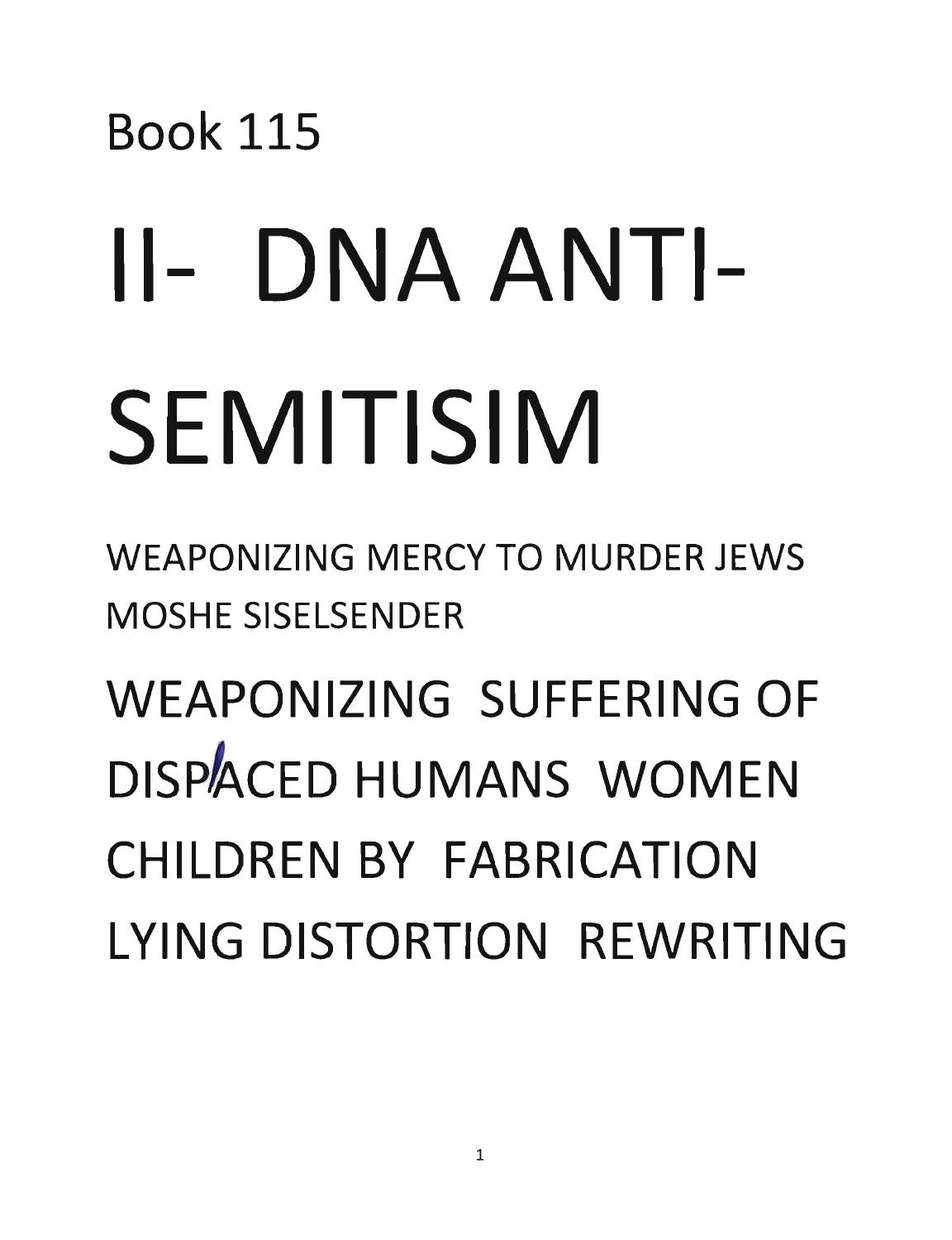## Book 115 11- DNA ANTI-SEMITISIM

WEAPONIZING MERCY TO MURDER JEWS MOSHE SISELSENDER

WEAPONIZING SUFFERING OF DISPACED HUMANS WOMEN CHILDREN BY FABRICATION LYING DISTORTION REWRITING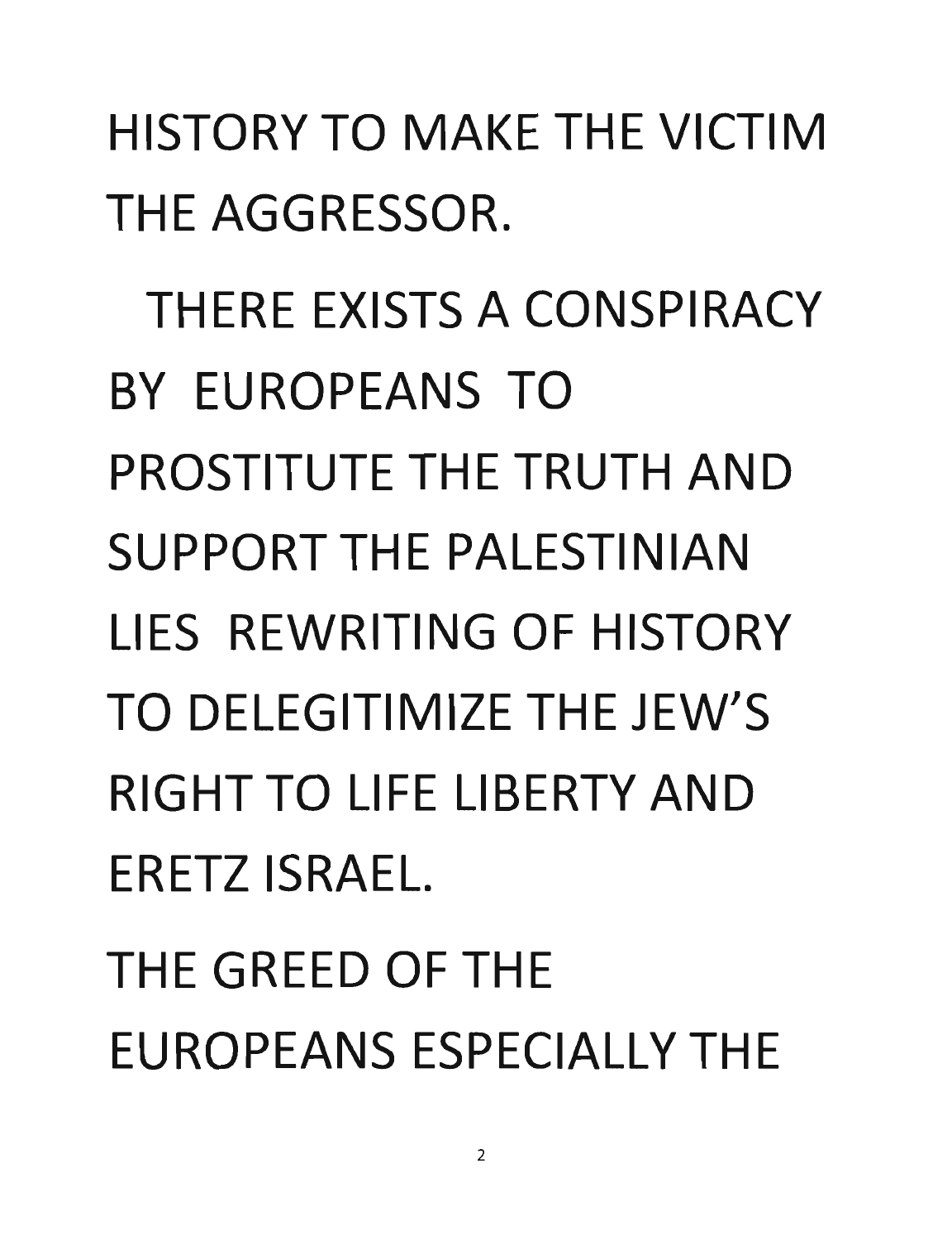HISTORY TO MAKE THE VICTIM THE AGGRESSOR.

THERE EXISTS A CONSPIRACY BY EUROPEANS TO PROSTITUTE THE TRUTH AND SUPPORT THE PALESTINIAN LIES REWRITING OF HISTORY TO DELEGITIMIZE THE JEW'S RIGHT TO LIFE LIBERTY AND ERETZ ISRAEL.

THE GREED OF THE EUROPEANS ESPECIALLY THE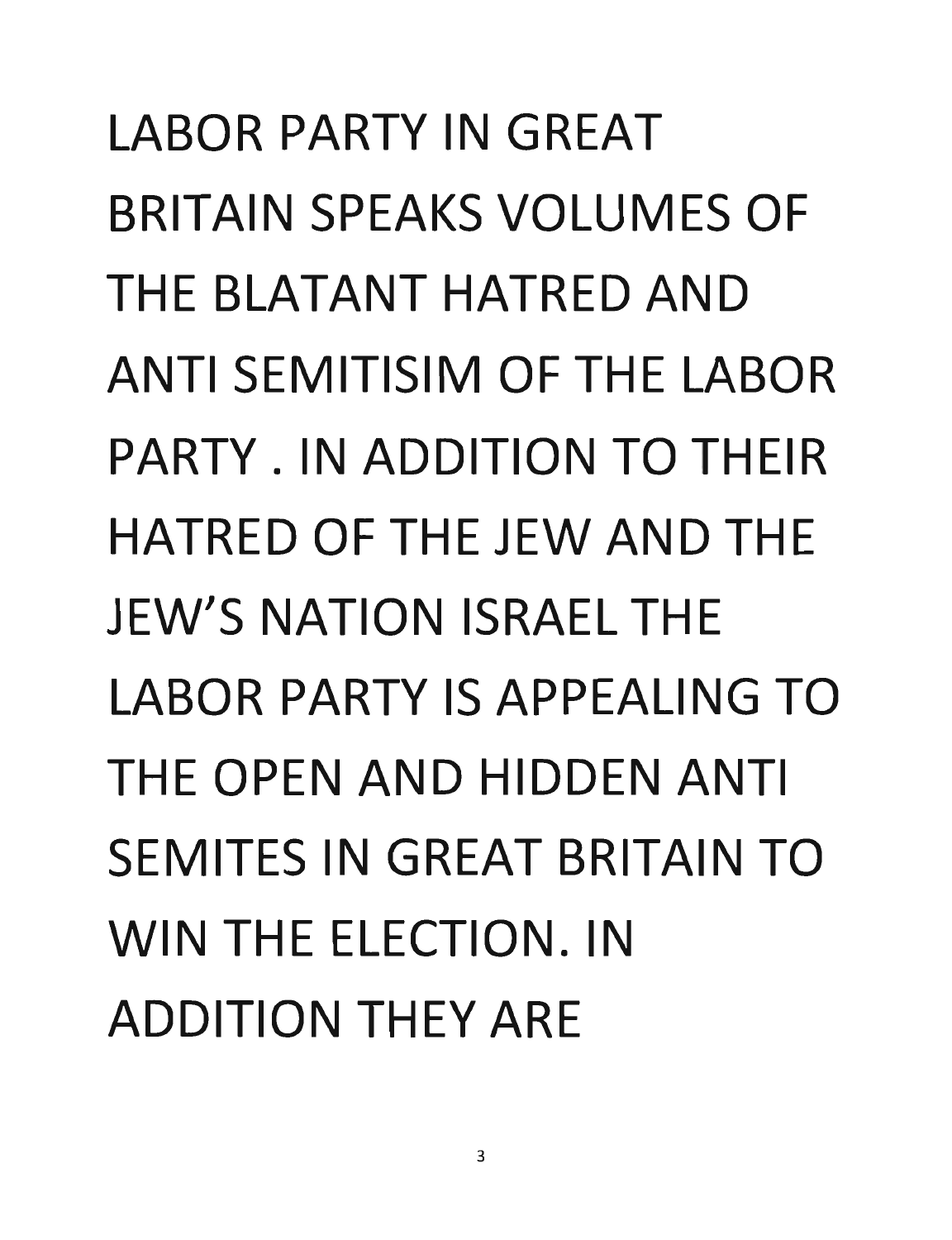LABOR PARTY IN GREAT BRITAIN SPEAKS VOLUMES OF THE BLATANT HATRED AND ANTI SEMITISIM OF THE LABOR PARTY. IN ADDITION TO THEIR HATRED OF THE JEW AND THE JEW'S NATION ISRAEL THE LABOR PARTY IS APPEALING TO THE OPEN AND HIDDEN ANTI SEMITES IN GREAT BRITAIN TO WIN THE ELECTION. IN ADDITION THEY ARE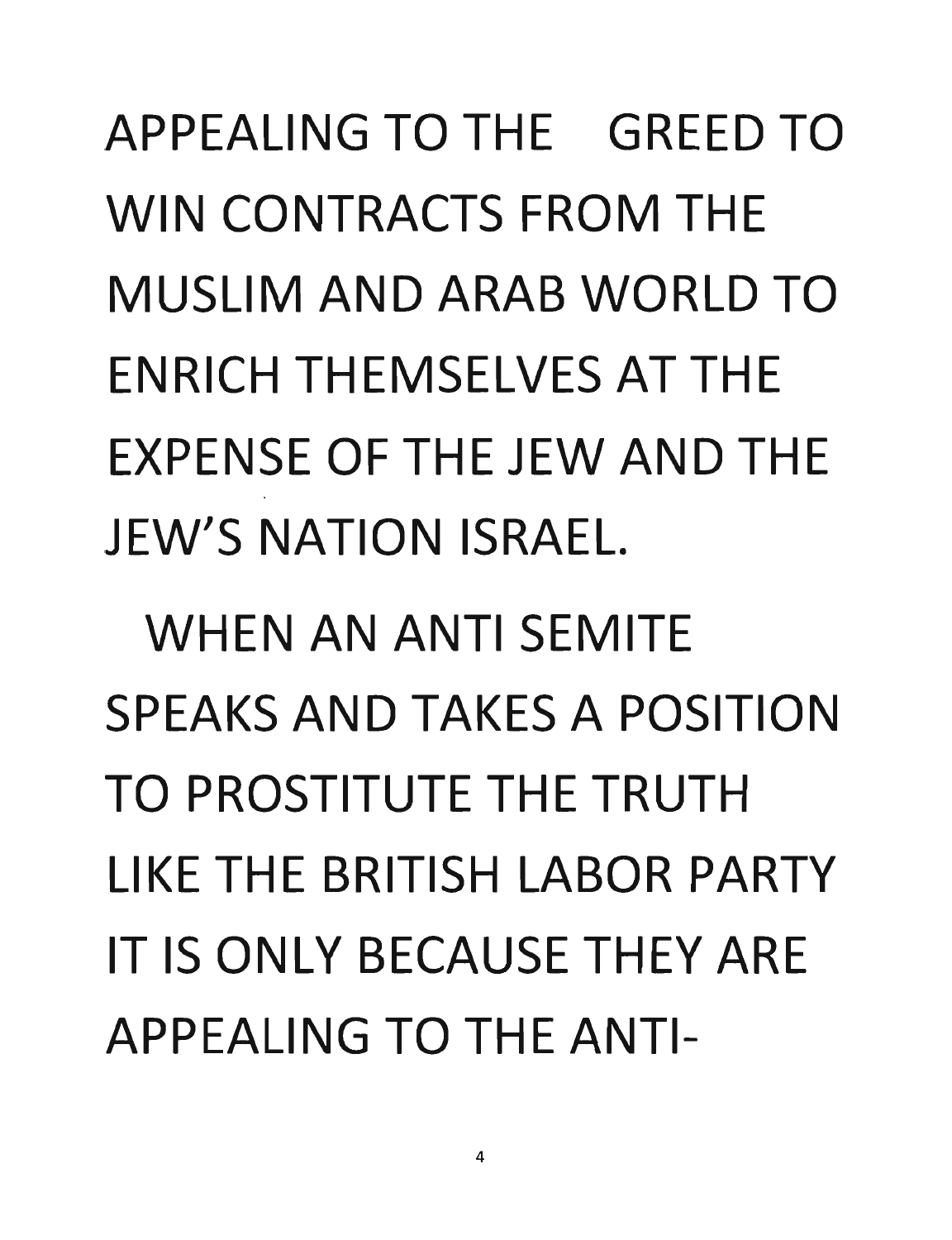APPEALING TO THE GREED TO WIN CONTRACTS FROM THE MUSLIM AND ARAB WORLD TO ENRICH THEMSELVES AT THE EXPENSE OF THE JEW AND THE JEW'S NATION ISRAEL.

WHEN AN ANTI SEMITE SPEAKS AND TAKES A POSITION TO PROSTITUTE THE TRUTH LIKE THE BRITISH LABOR PARTY IT IS ONLY BECAUSE THEY ARE APPFALING TO THE ANTI-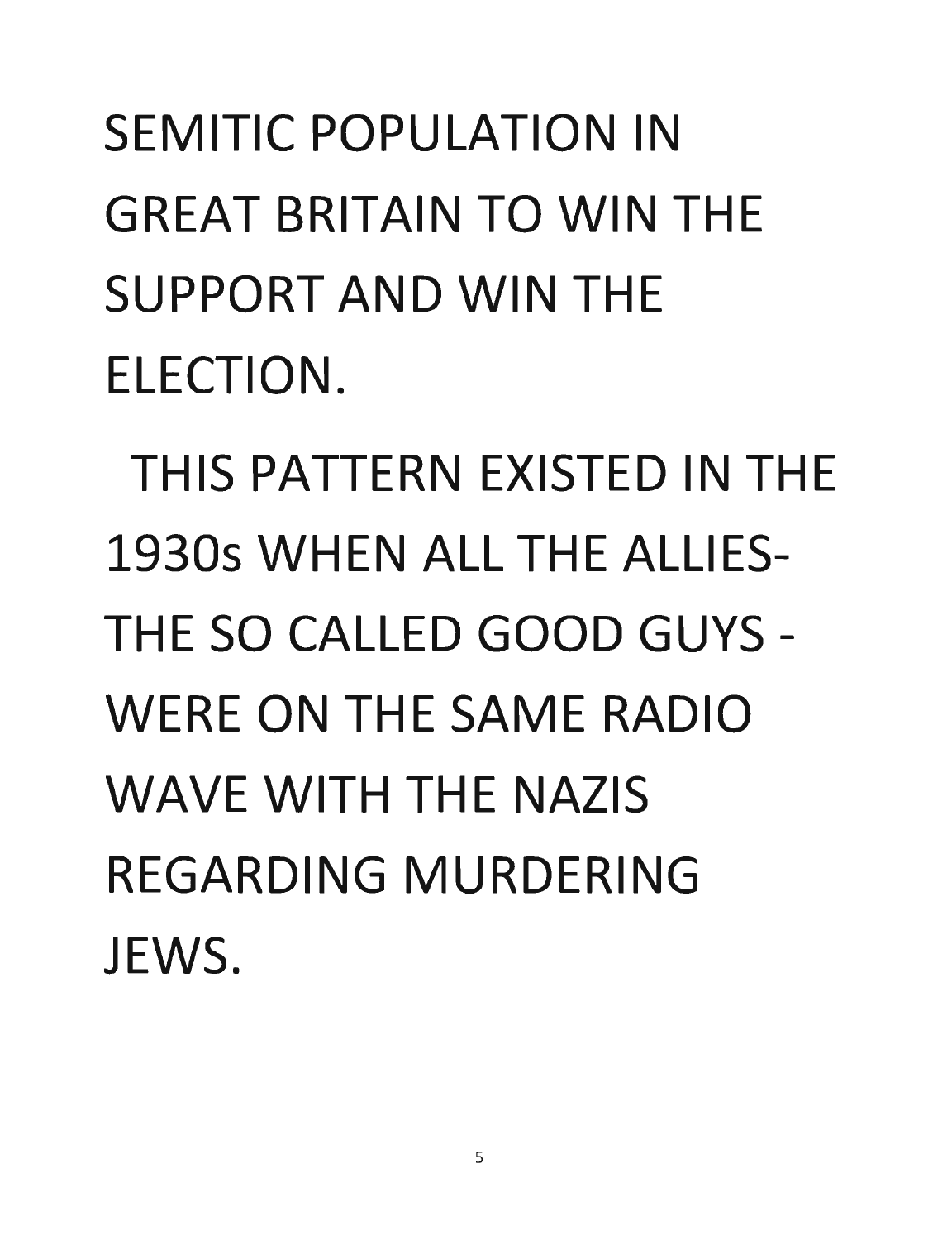SEMITIC POPULATION IN GREAT BRITAIN TO WIN THE SUPPORT AND WIN THE ELECTION.

THIS PATTERN EXISTED IN THE 19305 WHEN ALL THE ALLIES-THE SO CALLED GOOD GUYS - WERE ON THE SAME RADIO WAVE WITH THE NAZIS REGARDING MURDERING JEWS.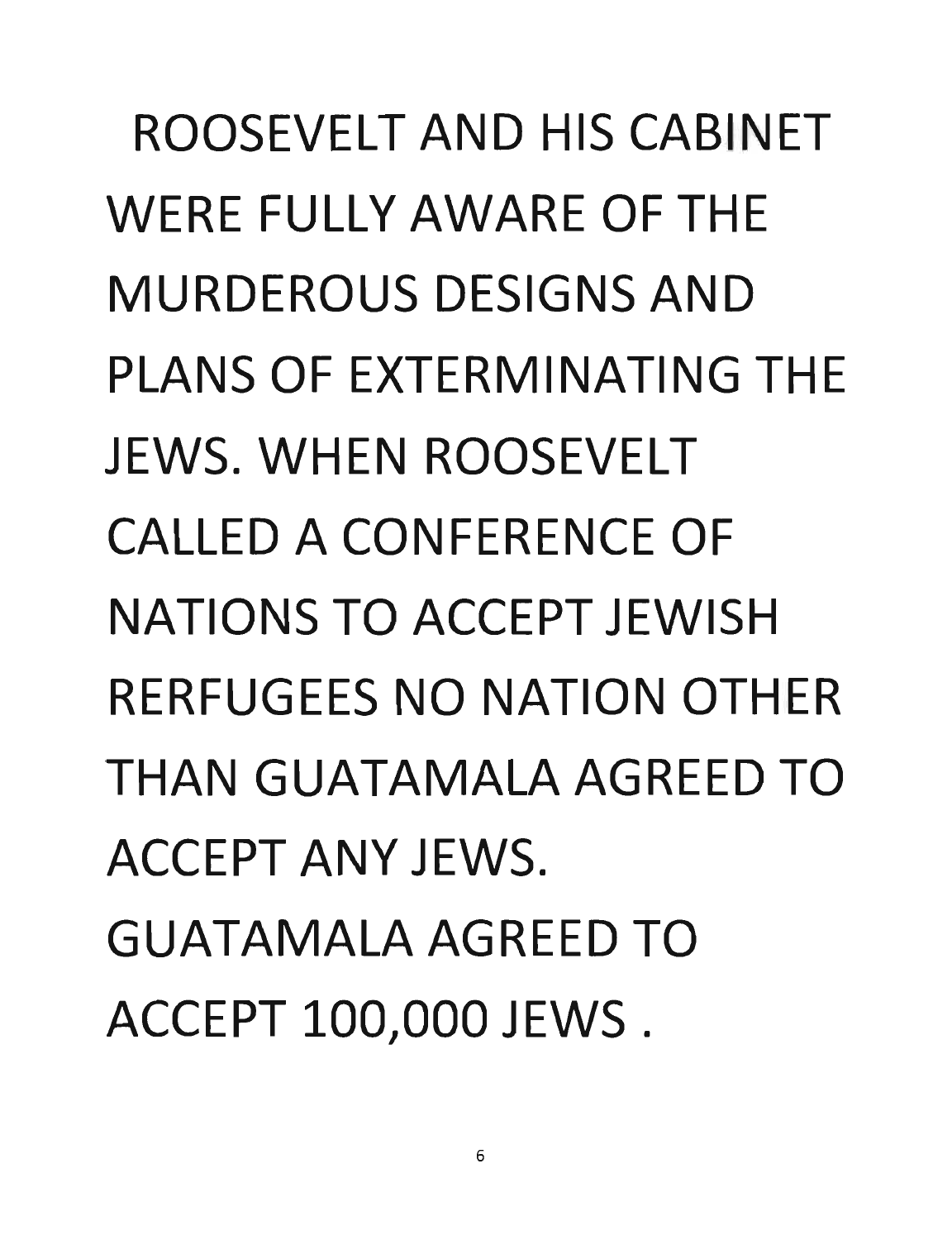ROOSEVELT AND HIS CABINET WERE FULLY AWARE OF THE MURDEROUS DESIGNS AND PLANS OF EXTERMINATING THE JEWS. WHEN ROOSEVELT CALLED A CONFERENCE OF NATIONS TO ACCEPT JEWISH RERFUGEES NO NATION OTHER THAN GUATAMALA AGREED TO ACCEPT ANY JEWS. GUATAMALA AGREED TO ACCEPT 100,000 JEWS.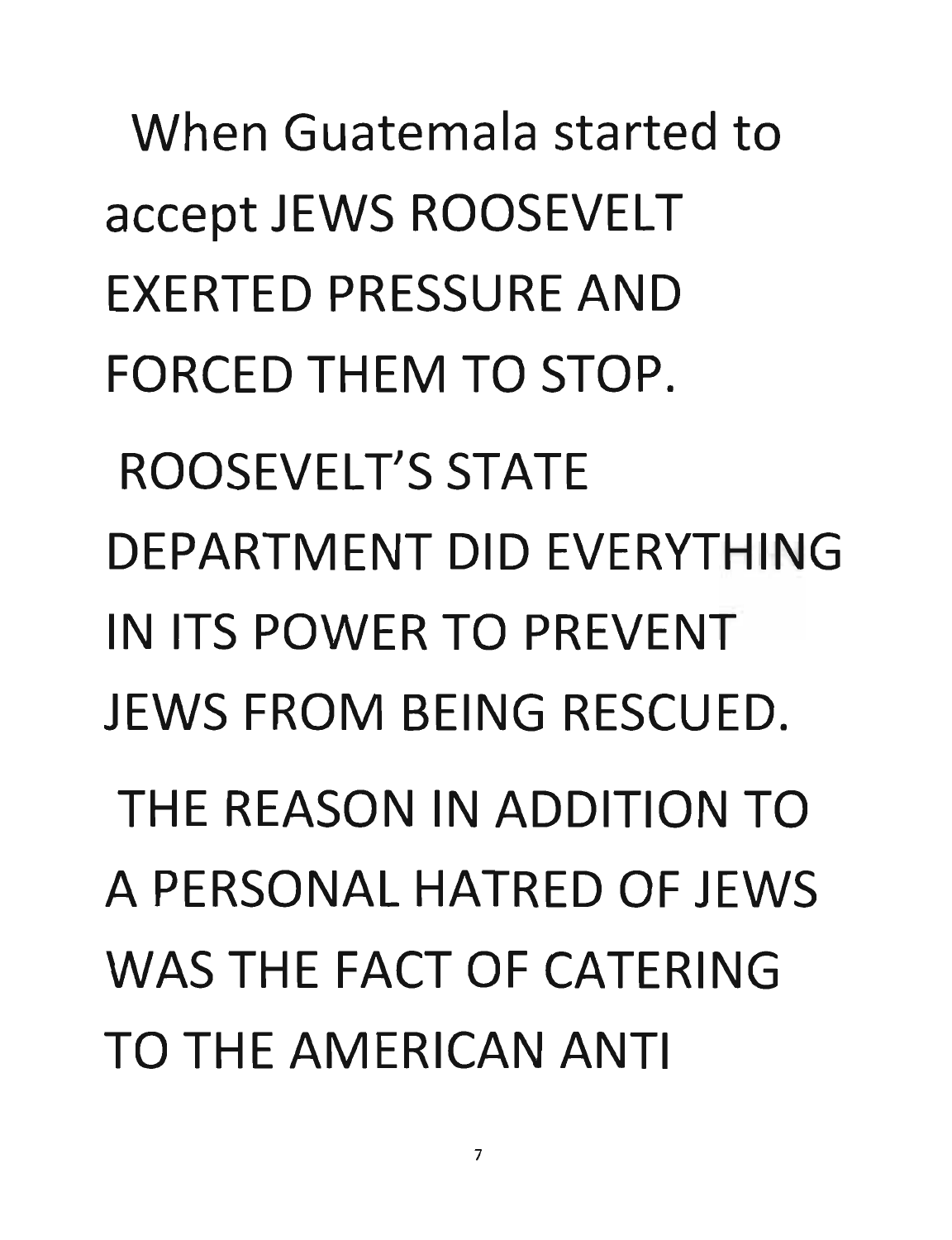When Guatemala started to accept JEWS ROOSEVELT EXERTED PRESSURE AND FORCED THEM TO STOP. ROOSEVELT'S STATE DEPARTMENT DID EVERYTHING IN ITS POWER TO PREVENT JEWS FROM BEING RESCUED. THE REASON IN ADDITION TO A PERSONAL HATRED OF JEWS WAS THE FACT OF CATERING TO THE AMERICAN ANTI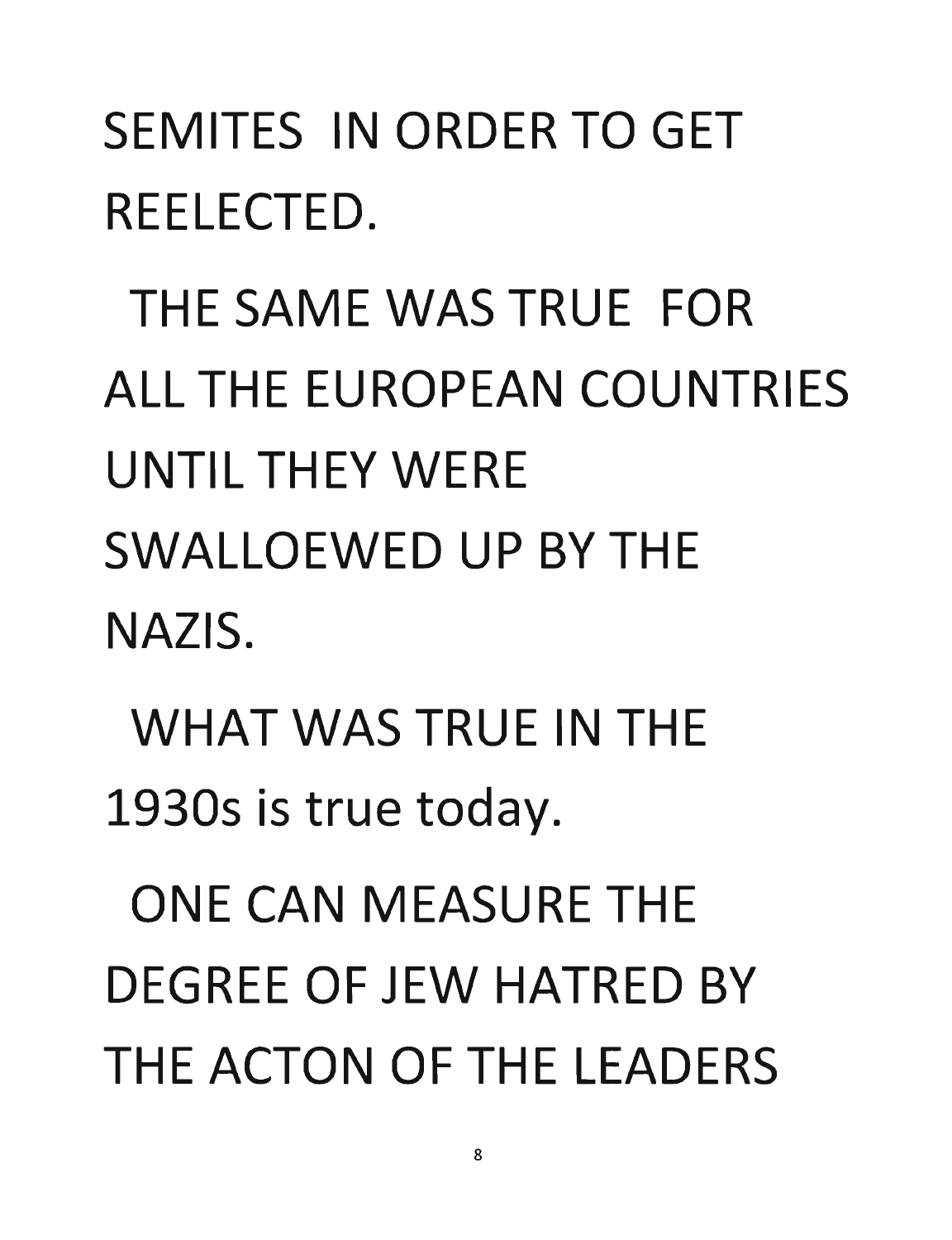## SEMITES IN ORDER TO GET REELECTED.

THE SAME WAS TRUE FOR ALL THE EUROPEAN COUNTRIES UNTIL THEY WERE SWALLOEWED UP BY THE NAZIS.

WHAT WAS TRUE IN THE 19305 is true today.

ONE CAN MEASURE THE DEGREE OF JEW HATRED BY THE ACTON OF THE LEADERS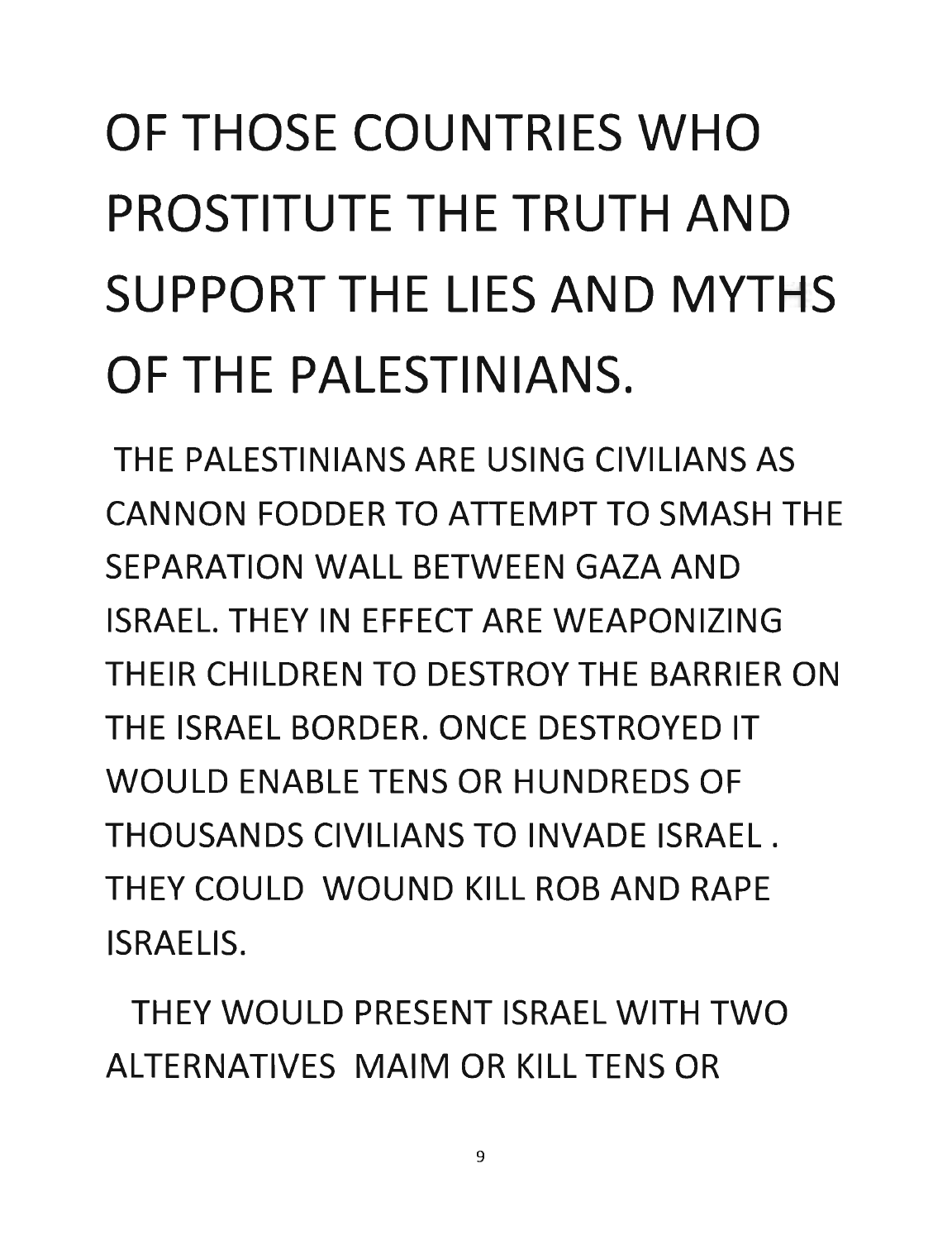## OF THOSE COUNTRIES WHO PROSTITUTE THE TRUTH AND SUPPORT THE **LIES** AND MYTHS OF THE PALESTINIANS.

THE PALESTINIANS ARE USING CIVILIANS AS CANNON FODDER TO ATTEMPT TO SMASH THE SEPARATION WALL BETWEEN GAZA AND ISRAEL. THEY IN EFFECT ARE WEAPONIZING THEIR CHILDREN TO DESTROY THE BARRIER ON THE ISRAEL BORDER. ONCE DESTROYED IT WOULD ENABLE TENS OR HUNDREDS OF THOUSANDS CIVILIANS TO INVADE ISRAEL. THEY COULD WOUND KILL ROB AND RAPE ISRAELIS.

THEY WOULD PRESENT ISRAEL WITH TWO ALTERNATIVES MAIM OR KILL TENS OR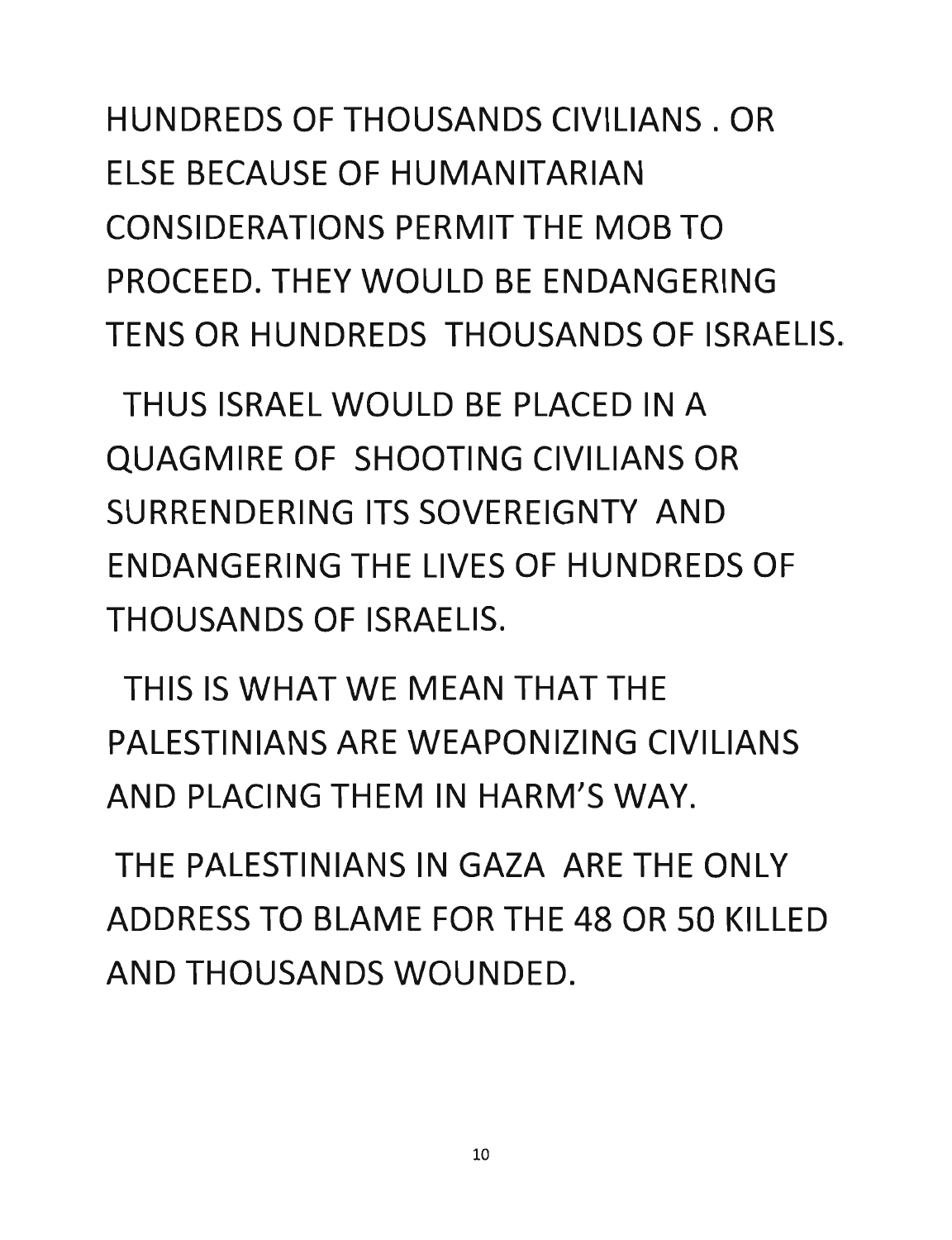HUNDREDS OF THOUSANDS CIVILIANS. OR ELSE BECAUSE OF HUMANITARIAN CONSIDERATIONS PERMIT THE MOB TO PROCEED. THEY WOULD BE ENDANGERING TENS OR HUNDREDS THOUSANDS OF ISRAELIS.

THUS ISRAEL WOULD BE PLACED IN A QUAGMIRE OF SHOOTING CIVILIANS OR SURRENDERING ITS SOVEREIGNTY AND ENDANGERING THE LIVES OF HUNDREDS OF THOUSANDS OF ISRAELIS.

THIS IS WHAT WE MEAN THAT THE PALESTINIANS ARE WEAPONIZING CIVILIANS AND PLACING THEM IN HARM'S WAY.

THE PALESTINIANS IN GAZA ARE THE ONLY ADDRESS TO BLAME FOR THE 48 OR 50 KILLED AND THOUSANDS WOUNDED.